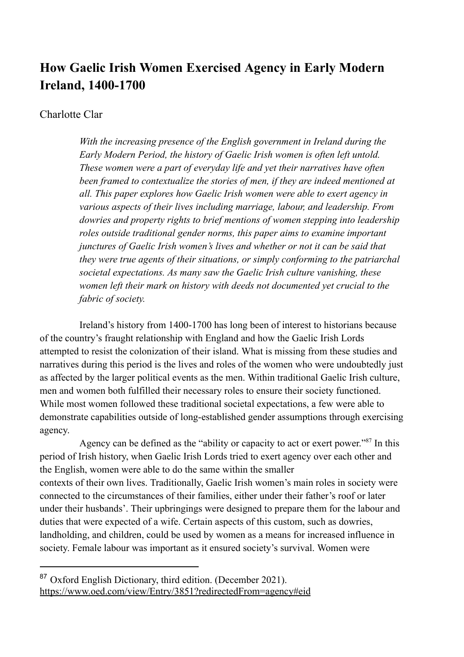# **How Gaelic Irish Women Exercised Agency in Early Modern Ireland, 1400-1700**

# Charlotte Clar

*With the increasing presence of the English government in Ireland during the Early Modern Period, the history of Gaelic Irish women is often left untold. These women were a part of everyday life and yet their narratives have often been framed to contextualize the stories of men, if they are indeed mentioned at all. This paper explores how Gaelic Irish women were able to exert agency in various aspects of their lives including marriage, labour, and leadership. From dowries and property rights to brief mentions of women stepping into leadership roles outside traditional gender norms, this paper aims to examine important junctures of Gaelic Irish women's lives and whether or not it can be said that they were true agents of their situations, or simply conforming to the patriarchal societal expectations. As many saw the Gaelic Irish culture vanishing, these women left their mark on history with deeds not documented yet crucial to the fabric of society.*

Ireland's history from 1400-1700 has long been of interest to historians because of the country's fraught relationship with England and how the Gaelic Irish Lords attempted to resist the colonization of their island. What is missing from these studies and narratives during this period is the lives and roles of the women who were undoubtedly just as affected by the larger political events as the men. Within traditional Gaelic Irish culture, men and women both fulfilled their necessary roles to ensure their society functioned. While most women followed these traditional societal expectations, a few were able to demonstrate capabilities outside of long-established gender assumptions through exercising agency.

Agency can be defined as the "ability or capacity to act or exert power."<sup>87</sup> In this period of Irish history, when Gaelic Irish Lords tried to exert agency over each other and the English, women were able to do the same within the smaller contexts of their own lives. Traditionally, Gaelic Irish women's main roles in society were connected to the circumstances of their families, either under their father's roof or later under their husbands'. Their upbringings were designed to prepare them for the labour and duties that were expected of a wife. Certain aspects of this custom, such as dowries, landholding, and children, could be used by women as a means for increased influence in society. Female labour was important as it ensured society's survival. Women were

 $87$  Oxford English Dictionary, third edition. (December 2021). https://www.oed.com/view/Entry/3851?redirectedFrom=agency#eid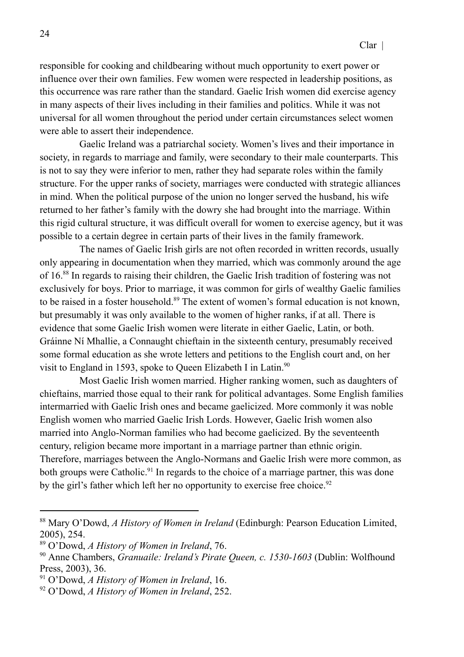responsible for cooking and childbearing without much opportunity to exert power or influence over their own families. Few women were respected in leadership positions, as this occurrence was rare rather than the standard. Gaelic Irish women did exercise agency in many aspects of their lives including in their families and politics. While it was not universal for all women throughout the period under certain circumstances select women were able to assert their independence.

Gaelic Ireland was a patriarchal society. Women's lives and their importance in society, in regards to marriage and family, were secondary to their male counterparts. This is not to say they were inferior to men, rather they had separate roles within the family structure. For the upper ranks of society, marriages were conducted with strategic alliances in mind. When the political purpose of the union no longer served the husband, his wife returned to her father's family with the dowry she had brought into the marriage. Within this rigid cultural structure, it was difficult overall for women to exercise agency, but it was possible to a certain degree in certain parts of their lives in the family framework.

The names of Gaelic Irish girls are not often recorded in written records, usually only appearing in documentation when they married, which was commonly around the age of 16.<sup>88</sup> In regards to raising their children, the Gaelic Irish tradition of fostering was not exclusively for boys. Prior to marriage, it was common for girls of wealthy Gaelic families to be raised in a foster household.<sup>89</sup> The extent of women's formal education is not known, but presumably it was only available to the women of higher ranks, if at all. There is evidence that some Gaelic Irish women were literate in either Gaelic, Latin, or both. Gráinne Ní Mhallie, a Connaught chieftain in the sixteenth century, presumably received some formal education as she wrote letters and petitions to the English court and, on her visit to England in 1593, spoke to Queen Elizabeth I in Latin.<sup>90</sup>

Most Gaelic Irish women married. Higher ranking women, such as daughters of chieftains, married those equal to their rank for political advantages. Some English families intermarried with Gaelic Irish ones and became gaelicized. More commonly it was noble English women who married Gaelic Irish Lords. However, Gaelic Irish women also married into Anglo-Norman families who had become gaelicized. By the seventeenth century, religion became more important in a marriage partner than ethnic origin. Therefore, marriages between the Anglo-Normans and Gaelic Irish were more common, as both groups were Catholic.<sup>91</sup> In regards to the choice of a marriage partner, this was done by the girl's father which left her no opportunity to exercise free choice.<sup>92</sup>

<sup>88</sup> Mary O'Dowd, *A History of Women in Ireland* (Edinburgh: Pearson Education Limited, 2005), 254.

<sup>89</sup> O'Dowd, *A History of Women in Ireland*, 76.

<sup>90</sup> Anne Chambers, *Granuaile: Ireland's Pirate Queen, c. 1530-1603* (Dublin: Wolfhound Press, 2003), 36.

<sup>91</sup> O'Dowd, *A History of Women in Ireland*, 16.

<sup>92</sup> O'Dowd, *A History of Women in Ireland*, 252.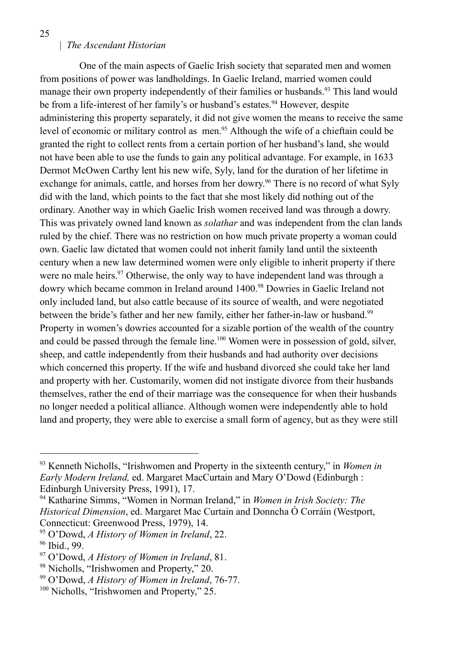One of the main aspects of Gaelic Irish society that separated men and women from positions of power was landholdings. In Gaelic Ireland, married women could manage their own property independently of their families or husbands.<sup>93</sup> This land would be from a life-interest of her family's or husband's estates.<sup>94</sup> However, despite administering this property separately, it did not give women the means to receive the same level of economic or military control as men.<sup>95</sup> Although the wife of a chieftain could be granted the right to collect rents from a certain portion of her husband's land, she would not have been able to use the funds to gain any political advantage. For example, in 1633 Dermot McOwen Carthy lent his new wife, Syly, land for the duration of her lifetime in exchange for animals, cattle, and horses from her dowry.<sup>96</sup> There is no record of what Syly did with the land, which points to the fact that she most likely did nothing out of the ordinary. Another way in which Gaelic Irish women received land was through a dowry. This was privately owned land known as *solathar* and was independent from the clan lands ruled by the chief. There was no restriction on how much private property a woman could own. Gaelic law dictated that women could not inherit family land until the sixteenth century when a new law determined women were only eligible to inherit property if there were no male heirs.<sup>97</sup> Otherwise, the only way to have independent land was through a dowry which became common in Ireland around 1400.<sup>98</sup> Dowries in Gaelic Ireland not only included land, but also cattle because of its source of wealth, and were negotiated between the bride's father and her new family, either her father-in-law or husband.<sup>99</sup> Property in women's dowries accounted for a sizable portion of the wealth of the country and could be passed through the female line.<sup>100</sup> Women were in possession of gold, silver, sheep, and cattle independently from their husbands and had authority over decisions which concerned this property. If the wife and husband divorced she could take her land and property with her. Customarily, women did not instigate divorce from their husbands themselves, rather the end of their marriage was the consequence for when their husbands no longer needed a political alliance. Although women were independently able to hold land and property, they were able to exercise a small form of agency, but as they were still

<sup>93</sup> Kenneth Nicholls, "Irishwomen and Property in the sixteenth century," in *Women in Early Modern Ireland,* ed. Margaret MacCurtain and Mary O'Dowd (Edinburgh : Edinburgh University Press, 1991), 17.

<sup>94</sup> Katharine Simms, "Women in Norman Ireland," in *Women in Irish Society: The Historical Dimension*, ed. Margaret Mac Curtain and Donncha Ó Corráin (Westport, Connecticut: Greenwood Press, 1979), 14.

<sup>95</sup> O'Dowd, *A History of Women in Ireland*, 22.

<sup>96</sup> Ibid., 99.

<sup>97</sup> O'Dowd, *A History of Women in Ireland*, 81.

<sup>98</sup> Nicholls, "Irishwomen and Property," 20.

<sup>99</sup> O'Dowd, *A History of Women in Ireland*, 76-77.

<sup>&</sup>lt;sup>100</sup> Nicholls, "Irishwomen and Property," 25.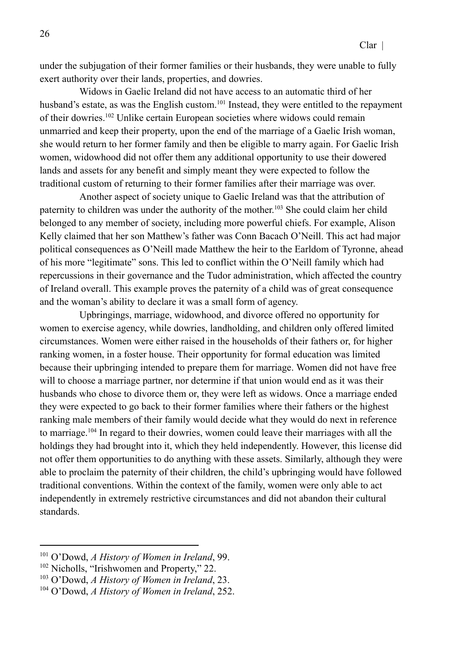under the subjugation of their former families or their husbands, they were unable to fully exert authority over their lands, properties, and dowries.

Widows in Gaelic Ireland did not have access to an automatic third of her husband's estate, as was the English custom.<sup>101</sup> Instead, they were entitled to the repayment of their dowries.<sup>102</sup> Unlike certain European societies where widows could remain unmarried and keep their property, upon the end of the marriage of a Gaelic Irish woman, she would return to her former family and then be eligible to marry again. For Gaelic Irish women, widowhood did not offer them any additional opportunity to use their dowered lands and assets for any benefit and simply meant they were expected to follow the traditional custom of returning to their former families after their marriage was over.

Another aspect of society unique to Gaelic Ireland was that the attribution of paternity to children was under the authority of the mother.<sup>103</sup> She could claim her child belonged to any member of society, including more powerful chiefs. For example, Alison Kelly claimed that her son Matthew's father was Conn Bacach O'Neill. This act had major political consequences as O'Neill made Matthew the heir to the Earldom of Tyronne, ahead of his more "legitimate" sons. This led to conflict within the O'Neill family which had repercussions in their governance and the Tudor administration, which affected the country of Ireland overall. This example proves the paternity of a child was of great consequence and the woman's ability to declare it was a small form of agency.

Upbringings, marriage, widowhood, and divorce offered no opportunity for women to exercise agency, while dowries, landholding, and children only offered limited circumstances. Women were either raised in the households of their fathers or, for higher ranking women, in a foster house. Their opportunity for formal education was limited because their upbringing intended to prepare them for marriage. Women did not have free will to choose a marriage partner, nor determine if that union would end as it was their husbands who chose to divorce them or, they were left as widows. Once a marriage ended they were expected to go back to their former families where their fathers or the highest ranking male members of their family would decide what they would do next in reference to marriage.<sup>104</sup> In regard to their dowries, women could leave their marriages with all the holdings they had brought into it, which they held independently. However, this license did not offer them opportunities to do anything with these assets. Similarly, although they were able to proclaim the paternity of their children, the child's upbringing would have followed traditional conventions. Within the context of the family, women were only able to act independently in extremely restrictive circumstances and did not abandon their cultural standards.

<sup>101</sup> O'Dowd, *A History of Women in Ireland*, 99.

<sup>&</sup>lt;sup>102</sup> Nicholls, "Irishwomen and Property," 22.

<sup>103</sup> O'Dowd, *A History of Women in Ireland*, 23.

<sup>104</sup> O'Dowd, *A History of Women in Ireland*, 252.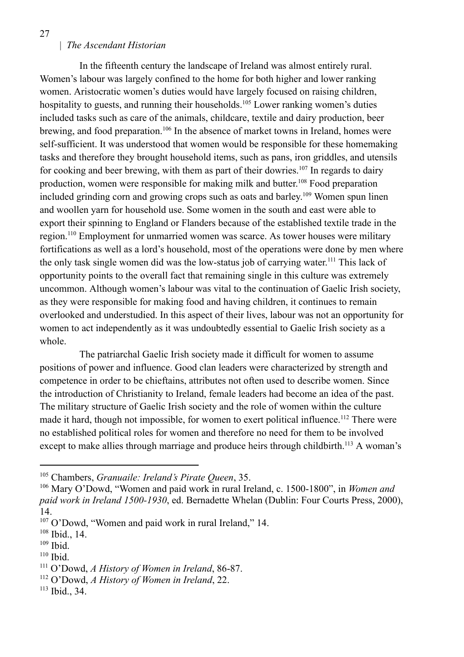In the fifteenth century the landscape of Ireland was almost entirely rural. Women's labour was largely confined to the home for both higher and lower ranking women. Aristocratic women's duties would have largely focused on raising children, hospitality to guests, and running their households.<sup>105</sup> Lower ranking women's duties included tasks such as care of the animals, childcare, textile and dairy production, beer brewing, and food preparation.<sup>106</sup> In the absence of market towns in Ireland, homes were self-sufficient. It was understood that women would be responsible for these homemaking tasks and therefore they brought household items, such as pans, iron griddles, and utensils for cooking and beer brewing, with them as part of their dowries.<sup>107</sup> In regards to dairy production, women were responsible for making milk and butter. <sup>108</sup> Food preparation included grinding corn and growing crops such as oats and barley. <sup>109</sup> Women spun linen and woollen yarn for household use. Some women in the south and east were able to export their spinning to England or Flanders because of the established textile trade in the region.<sup>110</sup> Employment for unmarried women was scarce. As tower houses were military fortifications as well as a lord's household, most of the operations were done by men where the only task single women did was the low-status job of carrying water. <sup>111</sup> This lack of opportunity points to the overall fact that remaining single in this culture was extremely uncommon. Although women's labour was vital to the continuation of Gaelic Irish society, as they were responsible for making food and having children, it continues to remain overlooked and understudied. In this aspect of their lives, labour was not an opportunity for women to act independently as it was undoubtedly essential to Gaelic Irish society as a whole.

The patriarchal Gaelic Irish society made it difficult for women to assume positions of power and influence. Good clan leaders were characterized by strength and competence in order to be chieftains, attributes not often used to describe women. Since the introduction of Christianity to Ireland, female leaders had become an idea of the past. The military structure of Gaelic Irish society and the role of women within the culture made it hard, though not impossible, for women to exert political influence.<sup>112</sup> There were no established political roles for women and therefore no need for them to be involved except to make allies through marriage and produce heirs through childbirth.<sup>113</sup> A woman's

<sup>105</sup> Chambers, *Granuaile: Ireland's Pirate Queen*, 35.

<sup>106</sup> Mary O'Dowd, "Women and paid work in rural Ireland, c. 1500-1800", in *Women and paid work in Ireland 1500-1930*, ed. Bernadette Whelan (Dublin: Four Courts Press, 2000), 14.

<sup>107</sup> O'Dowd, "Women and paid work in rural Ireland," 14.

<sup>108</sup> Ibid., 14.

<sup>109</sup> Ibid.

<sup>110</sup> Ibid.

<sup>111</sup> O'Dowd, *A History of Women in Ireland*, 86-87.

<sup>112</sup> O'Dowd, *A History of Women in Ireland*, 22.

<sup>113</sup> Ibid., 34.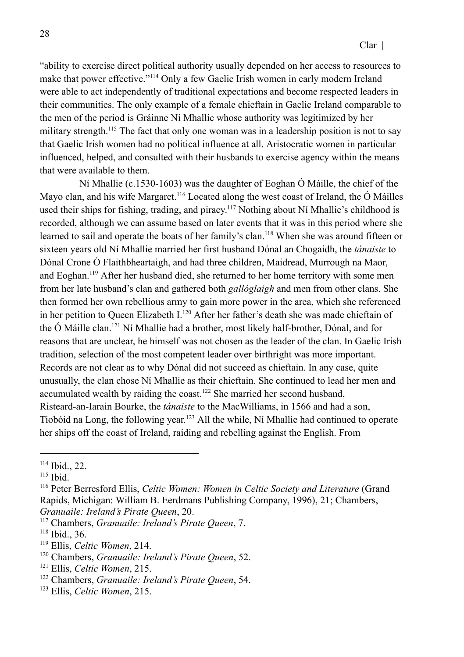"ability to exercise direct political authority usually depended on her access to resources to make that power effective."<sup>114</sup> Only a few Gaelic Irish women in early modern Ireland were able to act independently of traditional expectations and become respected leaders in their communities. The only example of a female chieftain in Gaelic Ireland comparable to the men of the period is Gráinne Ní Mhallie whose authority was legitimized by her military strength.<sup>115</sup> The fact that only one woman was in a leadership position is not to say that Gaelic Irish women had no political influence at all. Aristocratic women in particular influenced, helped, and consulted with their husbands to exercise agency within the means that were available to them.

Ní Mhallie (c.1530-1603) was the daughter of Eoghan Ó Máille, the chief of the Mayo clan, and his wife Margaret.<sup>116</sup> Located along the west coast of Ireland, the  $\acute{o}$  Máilles used their ships for fishing, trading, and piracy.<sup>117</sup> Nothing about Ní Mhallie's childhood is recorded, although we can assume based on later events that it was in this period where she learned to sail and operate the boats of her family's clan.<sup>118</sup> When she was around fifteen or sixteen years old Ní Mhallie married her first husband Dónal an Chogaidh, the *tánaiste* to Dónal Crone Ó Flaithbheartaigh, and had three children, Maidread, Murrough na Maor, and Eoghan.<sup>119</sup> After her husband died, she returned to her home territory with some men from her late husband's clan and gathered both *gallóglaigh* and men from other clans. She then formed her own rebellious army to gain more power in the area, which she referenced in her petition to Queen Elizabeth I.<sup>120</sup> After her father's death she was made chieftain of the Ó Máille clan.<sup>121</sup> Ní Mhallie had a brother, most likely half-brother, Dónal, and for reasons that are unclear, he himself was not chosen as the leader of the clan. In Gaelic Irish tradition, selection of the most competent leader over birthright was more important. Records are not clear as to why Dónal did not succeed as chieftain. In any case, quite unusually, the clan chose Ní Mhallie as their chieftain. She continued to lead her men and accumulated wealth by raiding the coast.<sup>122</sup> She married her second husband, Risteard-an-Iarain Bourke, the *tánaiste* to the MacWilliams, in 1566 and had a son, Tiobóid na Long, the following year.<sup>123</sup> All the while, Ní Mhallie had continued to operate her ships off the coast of Ireland, raiding and rebelling against the English. From

<sup>114</sup> Ibid., 22.

<sup>115</sup> Ibid.

<sup>116</sup> Peter Berresford Ellis, *Celtic Women: Women in Celtic Society and Literature* (Grand Rapids, Michigan: William B. Eerdmans Publishing Company, 1996), 21; Chambers, *Granuaile: Ireland's Pirate Queen*, 20.

<sup>117</sup> Chambers, *Granuaile: Ireland's Pirate Queen*, 7.

<sup>118</sup> Ibid., 36.

<sup>119</sup> Ellis, *Celtic Women*, 214.

<sup>120</sup> Chambers, *Granuaile: Ireland's Pirate Queen*, 52.

<sup>121</sup> Ellis, *Celtic Women*, 215.

<sup>122</sup> Chambers, *Granuaile: Ireland's Pirate Queen*, 54.

<sup>123</sup> Ellis, *Celtic Women*, 215.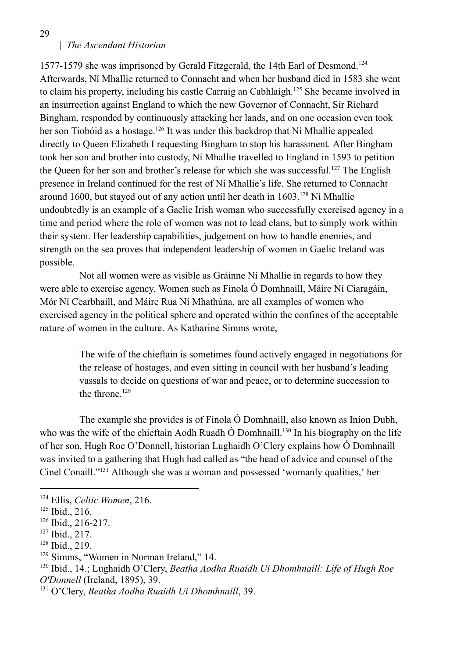1577-1579 she was imprisoned by Gerald Fitzgerald, the 14th Earl of Desmond.<sup>124</sup> Afterwards, Ní Mhallie returned to Connacht and when her husband died in 1583 she went to claim his property, including his castle Carraig an Cabhlaigh.<sup>125</sup> She became involved in an insurrection against England to which the new Governor of Connacht, Sir Richard Bingham, responded by continuously attacking her lands, and on one occasion even took her son Tiobóid as a hostage.<sup>126</sup> It was under this backdrop that Ní Mhallie appealed directly to Queen Elizabeth I requesting Bingham to stop his harassment. After Bingham took her son and brother into custody, Ní Mhallie travelled to England in 1593 to petition the Queen for her son and brother's release for which she was successful.<sup>127</sup> The English presence in Ireland continued for the rest of Ní Mhallie's life. She returned to Connacht around 1600, but stayed out of any action until her death in 1603.<sup>128</sup> Ní Mhallie undoubtedly is an example of a Gaelic Irish woman who successfully exercised agency in a time and period where the role of women was not to lead clans, but to simply work within their system. Her leadership capabilities, judgement on how to handle enemies, and strength on the sea proves that independent leadership of women in Gaelic Ireland was possible.

Not all women were as visible as Gráinne Ní Mhallie in regards to how they were able to exercise agency. Women such as Finola Ó Domhnaill, Máire Ní Ciaragáin, Mór Ní Cearbhaill, and Máire Rua Ní Mhathúna, are all examples of women who exercised agency in the political sphere and operated within the confines of the acceptable nature of women in the culture. As Katharine Simms wrote,

> The wife of the chieftain is sometimes found actively engaged in negotiations for the release of hostages, and even sitting in council with her husband's leading vassals to decide on questions of war and peace, or to determine succession to the throne  $129$

The example she provides is of Finola Ó Domhnaill, also known as Iníon Dubh, who was the wife of the chieftain Aodh Ruadh  $\acute{\text{O}}$  Domhnaill.<sup>130</sup> In his biography on the life of her son, Hugh Roe O'Donnell, historian Lughaidh O'Clery explains how Ó Domhnaill was invited to a gathering that Hugh had called as "the head of advice and counsel of the Cinel Conaill."<sup>131</sup> Although she was a woman and possessed 'womanly qualities,' her

#### 29

<sup>124</sup> Ellis, *Celtic Women*, 216.

<sup>125</sup> Ibid., 216.

<sup>126</sup> Ibid., 216-217.

<sup>127</sup> Ibid., 217.

<sup>128</sup> Ibid., 219.

<sup>&</sup>lt;sup>129</sup> Simms, "Women in Norman Ireland," 14.

<sup>130</sup> Ibid., 14.; Lughaidh O'Clery, *Beatha Aodha Ruaidh Ui Dhomhnaill: Life of Hugh Roe O'Donnell* (Ireland, 1895), 39.

<sup>131</sup> O'Clery, *Beatha Aodha Ruaidh Ui Dhomhnaill*, 39.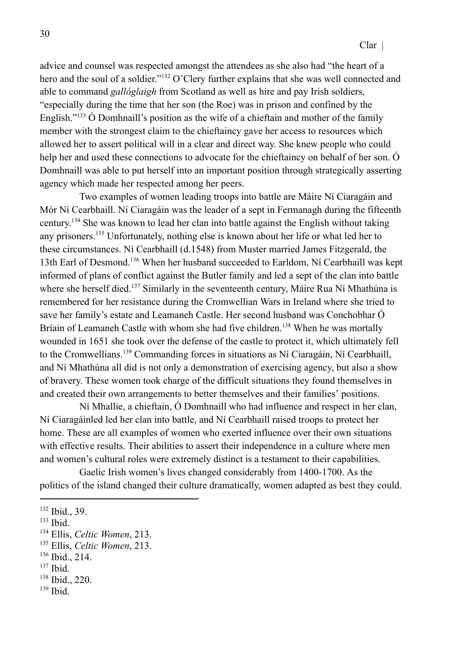advice and counsel was respected amongst the attendees as she also had "the heart of a hero and the soul of a soldier."<sup>132</sup> O'Clery further explains that she was well connected and able to command *gallóglaigh* from Scotland as well as hire and pay Irish soldiers, "especially during the time that her son (the Roe) was in prison and confined by the English."<sup>133</sup> O Domhnaill's position as the wife of a chieftain and mother of the family member with the strongest claim to the chieftaincy gave her access to resources which allowed her to assert political will in a clear and direct way. She knew people who could help her and used these connections to advocate for the chieftaincy on behalf of her son. Ó Domhnaill was able to put herself into an important position through strategically asserting agency which made her respected among her peers.

Two examples of women leading troops into battle are Máire Ní Ciaragáin and Mór Ní Cearbhaill. Ní Ciaragáin was the leader of a sept in Fermanagh during the fifteenth century. <sup>134</sup> She was known to lead her clan into battle against the English without taking any prisoners.<sup>135</sup> Unfortunately, nothing else is known about her life or what led her to these circumstances. Ní Cearbhaill (d.1548) from Muster married James Fitzgerald, the 13th Earl of Desmond.<sup>136</sup> When her husband succeeded to Earldom, Ní Cearbhaill was kept informed of plans of conflict against the Butler family and led a sept of the clan into battle where she herself died.<sup>137</sup> Similarly in the seventeenth century, Máire Rua Ní Mhathúna is remembered for her resistance during the Cromwellian Wars in Ireland where she tried to save her family's estate and Leamaneh Castle. Her second husband was Conchobhar Ó Bríain of Leamaneh Castle with whom she had five children.<sup>138</sup> When he was mortally wounded in 1651 she took over the defense of the castle to protect it, which ultimately fell to the Cromwellians.<sup>139</sup> Commanding forces in situations as Ní Ciaragáin, Ní Cearbhaill, and Ní Mhathúna all did is not only a demonstration of exercising agency, but also a show of bravery. These women took charge of the difficult situations they found themselves in and created their own arrangements to better themselves and their families' positions.

Ní Mhallie, a chieftain, Ó Domhnaill who had influence and respect in her clan, Ní Ciaragáinled led her clan into battle, and Ní Cearbhaill raised troops to protect her home. These are all examples of women who exerted influence over their own situations with effective results. Their abilities to assert their independence in a culture where men and women's cultural roles were extremely distinct is a testament to their capabilities.

Gaelic Irish women's lives changed considerably from 1400-1700. As the politics of the island changed their culture dramatically, women adapted as best they could.

<sup>132</sup> Ibid., 39.

<sup>133</sup> Ibid.

<sup>134</sup> Ellis, *Celtic Women*, 213.

<sup>135</sup> Ellis, *Celtic Women*, 213.

<sup>136</sup> Ibid., 214.

<sup>137</sup> Ibid.

<sup>138</sup> Ibid., 220.

<sup>139</sup> Ibid.